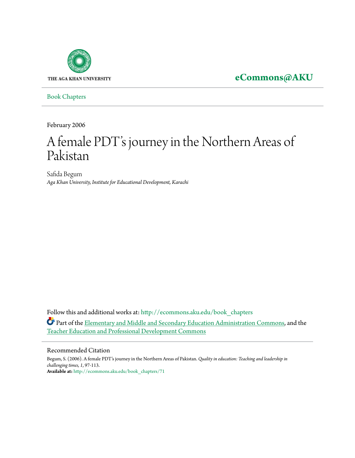

**[eCommons@AKU](http://ecommons.aku.edu?utm_source=ecommons.aku.edu%2Fbook_chapters%2F71&utm_medium=PDF&utm_campaign=PDFCoverPages)**

[Book Chapters](http://ecommons.aku.edu/book_chapters?utm_source=ecommons.aku.edu%2Fbook_chapters%2F71&utm_medium=PDF&utm_campaign=PDFCoverPages)

February 2006

# A female PDT's journey in the Northern Areas of Pakistan

Safida Begum *Aga Khan University, Institute for Educational Development, Karachi*

Follow this and additional works at: [http://ecommons.aku.edu/book\\_chapters](http://ecommons.aku.edu/book_chapters?utm_source=ecommons.aku.edu%2Fbook_chapters%2F71&utm_medium=PDF&utm_campaign=PDFCoverPages) Part of the [Elementary and Middle and Secondary Education Administration Commons,](http://network.bepress.com/hgg/discipline/790?utm_source=ecommons.aku.edu%2Fbook_chapters%2F71&utm_medium=PDF&utm_campaign=PDFCoverPages) and the [Teacher Education and Professional Development Commons](http://network.bepress.com/hgg/discipline/803?utm_source=ecommons.aku.edu%2Fbook_chapters%2F71&utm_medium=PDF&utm_campaign=PDFCoverPages)

#### Recommended Citation

Begum, S. (2006). A female PDT's journey in the Northern Areas of Pakistan. *Quality in education: Teaching and leadership in challenging times, 1*, 97-113. **Available at:** [http://ecommons.aku.edu/book\\_chapters/71](http://ecommons.aku.edu/book_chapters/71)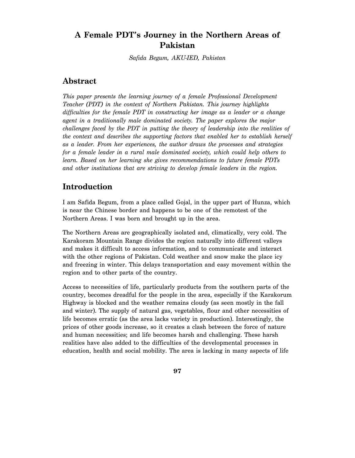# **A Female PDT's Journey in the Northern Areas of Pakistan**

*Safida Begum, AKU-IED, Pakistan* 

# **Abstract**

*This paper presents the learning journey of a female Professional Development Teacher (PDT) in the context of Northern Pakistan. This journey highlights difficulties for the female PDT in constructing her image as a leader or a change agent in a traditionally male dominated society. The paper explores the major challenges faced by the PDT in putting the theory of leadership into the realities of the context and describes the supporting factors that enabled her to establish herself as a leader. From her experiences, the author draws the processes and strategies for a female leader in a rural male dominated society, which could help others to learn. Based on her learning she gives recommendations to future female PDTs and other institutions that are striving to develop female leaders in the region.* 

# **Introduction**

I am Safida Begum, from a place called Gojal, in the upper part of Hunza, which is near the Chinese border and happens to be one of the remotest of the Northern Areas. I was born and brought up in the area.

The Northern Areas are geographically isolated and, climatically, very cold. The Karakoram Mountain Range divides the region naturally into different valleys and makes it difficult to access information, and to communicate and interact with the other regions of Pakistan. Cold weather and snow make the place icy and freezing in winter. This delays transportation and easy movement within the region and to other parts of the country.

Access to necessities of life, particularly products from the southern parts of the country, becomes dreadful for the people in the area, especially if the Karakorum Highway is blocked and the weather remains cloudy (as seen mostly in the fall and winter). The supply of natural gas, vegetables, flour and other necessities of life becomes erratic (as the area lacks variety in production). Interestingly, the prices of other goods increase, so it creates a clash between the force of nature and human necessities; and life becomes harsh and challenging. These harsh realities have also added to the difficulties of the developmental processes in education, health and social mobility. The area is lacking in many aspects of life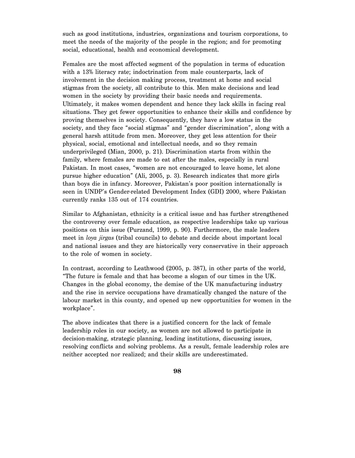such as good institutions, industries, organizations and tourism corporations, to meet the needs of the majority of the people in the region; and for promoting social, educational, health and economical development.

Females are the most affected segment of the population in terms of education with a 13% literacy rate; indoctrination from male counterparts, lack of involvement in the decision making process, treatment at home and social stigmas from the society, all contribute to this. Men make decisions and lead women in the society by providing their basic needs and requirements. Ultimately, it makes women dependent and hence they lack skills in facing real situations. They get fewer opportunities to enhance their skills and confidence by proving themselves in society. Consequently, they have a low status in the society, and they face "social stigmas" and "gender discrimination", along with a general harsh attitude from men. Moreover, they get less attention for their physical, social, emotional and intellectual needs, and so they remain underprivileged (Mian, 2000, p. 21). Discrimination starts from within the family, where females are made to eat after the males, especially in rural Pakistan. In most cases, "women are not encouraged to leave home, let alone pursue higher education" (Ali, 2005, p. 3). Research indicates that more girls than boys die in infancy. Moreover, Pakistan's poor position internationally is seen in UNDP's Gender-related Development Index (GDI) 2000, where Pakistan currently ranks 135 out of 174 countries.

Similar to Afghanistan, ethnicity is a critical issue and has further strengthened the controversy over female education, as respective leaderships take up various positions on this issue (Purzand, 1999, p. 90). Furthermore, the male leaders meet in *loya jirgas* (tribal councils) to debate and decide about important local and national issues and they are historically very conservative in their approach to the role of women in society.

In contrast, according to Leathwood (2005, p. 387), in other parts of the world, "The future is female and that has become a slogan of our times in the UK. Changes in the global economy, the demise of the UK manufacturing industry and the rise in service occupations have dramatically changed the nature of the labour market in this county, and opened up new opportunities for women in the workplace".

The above indicates that there is a justified concern for the lack of female leadership roles in our society, as women are not allowed to participate in decision-making, strategic planning, leading institutions, discussing issues, resolving conflicts and solving problems. As a result, female leadership roles are neither accepted nor realized; and their skills are underestimated.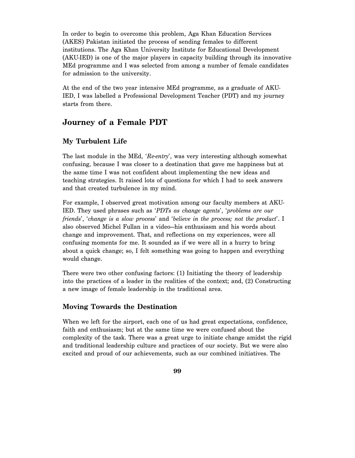In order to begin to overcome this problem, Aga Khan Education Services (AKES) Pakistan initiated the process of sending females to different institutions. The Aga Khan University Institute for Educational Development (AKU-IED) is one of the major players in capacity building through its innovative MEd programme and I was selected from among a number of female candidates for admission to the university.

At the end of the two year intensive MEd programme, as a graduate of AKU-IED, I was labelled a Professional Development Teacher (PDT) and my journey starts from there.

# **Journey of a Female PDT**

### **My Turbulent Life**

The last module in the MEd, '*Re-entry*', was very interesting although somewhat confusing, because I was closer to a destination that gave me happiness but at the same time I was not confident about implementing the new ideas and teaching strategies. It raised lots of questions for which I had to seek answers and that created turbulence in my mind.

For example, I observed great motivation among our faculty members at AKU-IED. They used phrases such as '*PDTs as change agents*', '*problems are our friends*', '*change is a slow process*' and '*believe in the process; not the product*'. I also observed Michel Fullan in a video—his enthusiasm and his words about change and improvement. That, and reflections on my experiences, were all confusing moments for me. It sounded as if we were all in a hurry to bring about a quick change; so, I felt something was going to happen and everything would change.

There were two other confusing factors: (1) Initiating the theory of leadership into the practices of a leader in the realities of the context; and, (2) Constructing a new image of female leadership in the traditional area.

### **Moving Towards the Destination**

When we left for the airport, each one of us had great expectations, confidence, faith and enthusiasm; but at the same time we were confused about the complexity of the task. There was a great urge to initiate change amidst the rigid and traditional leadership culture and practices of our society. But we were also excited and proud of our achievements, such as our combined initiatives. The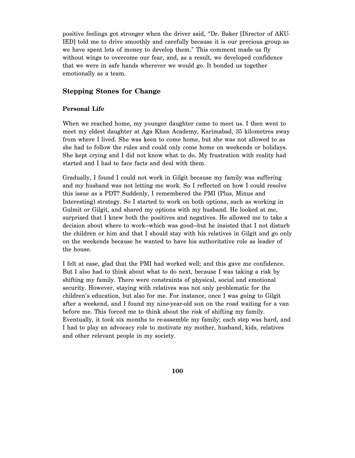positive feelings got stronger when the driver said, "Dr. Baker [Director of AKU-IED] told me to drive smoothly and carefully because it is our precious group as we have spent lots of money to develop them." This comment made us fly without wings to overcome our fear, and, as a result, we developed confidence that we were in safe hands wherever we would go. It bonded us together emotionally as a team.

#### **Stepping Stones for Change**

#### **Personal Life**

When we reached home, my younger daughter came to meet us. I then went to meet my eldest daughter at Aga Khan Academy, Karimabad, 35 kilometres away from where I lived. She was keen to come home, but she was not allowed to as she had to follow the rules and could only come home on weekends or holidays. She kept crying and I did not know what to do. My frustration with reality had started and I had to face facts and deal with them.

Gradually, I found I could not work in Gilgit because my family was suffering and my husband was not letting me work. So I reflected on how I could resolve this issue as a PDT? Suddenly, I remembered the PMI (Plus, Minus and Interesting) strategy. So I started to work on both options, such as working in Gulmit or Gilgit, and shared my options with my husband. He looked at me, surprised that I knew both the positives and negatives. He allowed me to take a decision about where to work—which was good—but he insisted that I not disturb the children or him and that I should stay with his relatives in Gilgit and go only on the weekends because he wanted to have his authoritative role as leader of the house.

I felt at ease, glad that the PMI had worked well; and this gave me confidence. But I also had to think about what to do next, because I was taking a risk by shifting my family. There were constraints of physical, social and emotional security. However, staying with relatives was not only problematic for the children's education, but also for me. For instance, once I was going to Gilgit after a weekend, and I found my nine-year-old son on the road waiting for a van before me. This forced me to think about the risk of shifting my family. Eventually, it took six months to re-assemble my family; each step was hard, and I had to play an advocacy role to motivate my mother, husband, kids, relatives and other relevant people in my society.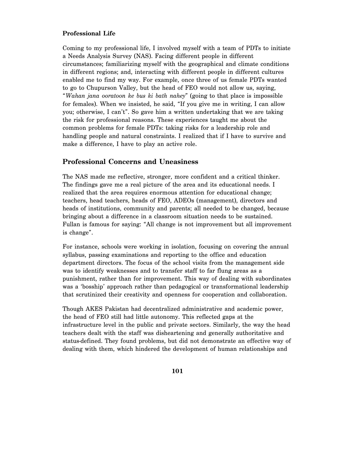#### **Professional Life**

Coming to my professional life, I involved myself with a team of PDTs to initiate a Needs Analysis Survey (NAS). Facing different people in different circumstances; familiarizing myself with the geographical and climate conditions in different regions; and, interacting with different people in different cultures enabled me to find my way. For example, once three of us female PDTs wanted to go to Chupurson Valley, but the head of FEO would not allow us, saying, "*Wahan jana ooratoon ke bus ki bath nahey*" (going to that place is impossible for females). When we insisted, he said, "If you give me in writing, I can allow you; otherwise, I can't". So gave him a written undertaking that we are taking the risk for professional reasons. These experiences taught me about the common problems for female PDTs: taking risks for a leadership role and handling people and natural constraints. I realized that if I have to survive and make a difference, I have to play an active role.

#### **Professional Concerns and Uneasiness**

The NAS made me reflective, stronger, more confident and a critical thinker. The findings gave me a real picture of the area and its educational needs. I realized that the area requires enormous attention for educational change; teachers, head teachers, heads of FEO, ADEOs (management), directors and heads of institutions, community and parents; all needed to be changed, because bringing about a difference in a classroom situation needs to be sustained. Fullan is famous for saying: "All change is not improvement but all improvement is change".

For instance, schools were working in isolation, focusing on covering the annual syllabus, passing examinations and reporting to the office and education department directors. The focus of the school visits from the management side was to identify weaknesses and to transfer staff to far flung areas as a punishment, rather than for improvement. This way of dealing with subordinates was a 'bosship' approach rather than pedagogical or transformational leadership that scrutinized their creativity and openness for cooperation and collaboration.

Though AKES Pakistan had decentralized administrative and academic power, the head of FEO still had little autonomy. This reflected gaps at the infrastructure level in the public and private sectors. Similarly, the way the head teachers dealt with the staff was disheartening and generally authoritative and status-defined. They found problems, but did not demonstrate an effective way of dealing with them, which hindered the development of human relationships and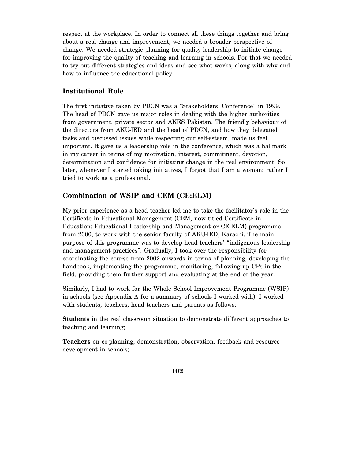respect at the workplace. In order to connect all these things together and bring about a real change and improvement, we needed a broader perspective of change. We needed strategic planning for quality leadership to initiate change for improving the quality of teaching and learning in schools. For that we needed to try out different strategies and ideas and see what works, along with why and how to influence the educational policy.

### **Institutional Role**

The first initiative taken by PDCN was a "Stakeholders' Conference" in 1999. The head of PDCN gave us major roles in dealing with the higher authorities from government, private sector and AKES Pakistan. The friendly behaviour of the directors from AKU-IED and the head of PDCN, and how they delegated tasks and discussed issues while respecting our self-esteem, made us feel important. It gave us a leadership role in the conference, which was a hallmark in my career in terms of my motivation, interest, commitment, devotion, determination and confidence for initiating change in the real environment. So later, whenever I started taking initiatives, I forgot that I am a woman; rather I tried to work as a professional.

### **Combination of WSIP and CEM (CE:ELM)**

My prior experience as a head teacher led me to take the facilitator's role in the Certificate in Educational Management (CEM, now titled Certificate in Education: Educational Leadership and Management or CE:ELM) programme from 2000, to work with the senior faculty of AKU-IED, Karachi. The main purpose of this programme was to develop head teachers' "indigenous leadership and management practices". Gradually, I took over the responsibility for coordinating the course from 2002 onwards in terms of planning, developing the handbook, implementing the programme, monitoring, following up CPs in the field, providing them further support and evaluating at the end of the year.

Similarly, I had to work for the Whole School Improvement Programme (WSIP) in schools (see Appendix A for a summary of schools I worked with). I worked with students, teachers, head teachers and parents as follows:

**Students** in the real classroom situation to demonstrate different approaches to teaching and learning;

**Teachers** on co-planning, demonstration, observation, feedback and resource development in schools;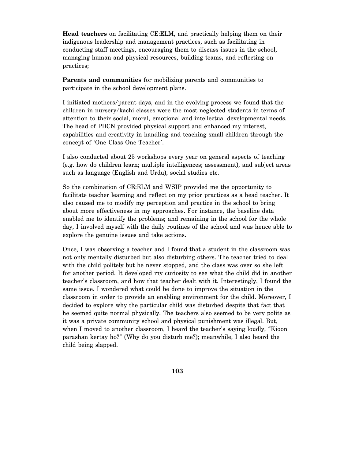**Head teachers** on facilitating CE:ELM, and practically helping them on their indigenous leadership and management practices, such as facilitating in conducting staff meetings, encouraging them to discuss issues in the school, managing human and physical resources, building teams, and reflecting on practices;

**Parents and communities** for mobilizing parents and communities to participate in the school development plans.

I initiated mothers/parent days, and in the evolving process we found that the children in nursery/kachi classes were the most neglected students in terms of attention to their social, moral, emotional and intellectual developmental needs. The head of PDCN provided physical support and enhanced my interest, capabilities and creativity in handling and teaching small children through the concept of 'One Class One Teacher'.

I also conducted about 25 workshops every year on general aspects of teaching (e.g. how do children learn; multiple intelligences; assessment), and subject areas such as language (English and Urdu), social studies etc.

So the combination of CE:ELM and WSIP provided me the opportunity to facilitate teacher learning and reflect on my prior practices as a head teacher. It also caused me to modify my perception and practice in the school to bring about more effectiveness in my approaches. For instance, the baseline data enabled me to identify the problems; and remaining in the school for the whole day, I involved myself with the daily routines of the school and was hence able to explore the genuine issues and take actions.

Once, I was observing a teacher and I found that a student in the classroom was not only mentally disturbed but also disturbing others. The teacher tried to deal with the child politely but he never stopped, and the class was over so she left for another period. It developed my curiosity to see what the child did in another teacher's classroom, and how that teacher dealt with it. Interestingly, I found the same issue. I wondered what could be done to improve the situation in the classroom in order to provide an enabling environment for the child. Moreover, I decided to explore why the particular child was disturbed despite that fact that he seemed quite normal physically. The teachers also seemed to be very polite as it was a private community school and physical punishment was illegal. But, when I moved to another classroom, I heard the teacher's saying loudly, "Kioon parashan kertay ho?" (Why do you disturb me?); meanwhile, I also heard the child being slapped.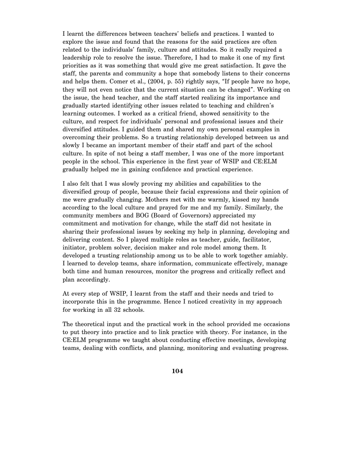I learnt the differences between teachers' beliefs and practices. I wanted to explore the issue and found that the reasons for the said practices are often related to the individuals' family, culture and attitudes. So it really required a leadership role to resolve the issue. Therefore, I had to make it one of my first priorities as it was something that would give me great satisfaction. It gave the staff, the parents and community a hope that somebody listens to their concerns and helps them. Comer et al., (2004, p. 55) rightly says, "If people have no hope, they will not even notice that the current situation can be changed". Working on the issue, the head teacher, and the staff started realizing its importance and gradually started identifying other issues related to teaching and children's learning outcomes. I worked as a critical friend, showed sensitivity to the culture, and respect for individuals' personal and professional issues and their diversified attitudes. I guided them and shared my own personal examples in overcoming their problems. So a trusting relationship developed between us and slowly I became an important member of their staff and part of the school culture. In spite of not being a staff member, I was one of the more important people in the school. This experience in the first year of WSIP and CE:ELM gradually helped me in gaining confidence and practical experience.

I also felt that I was slowly proving my abilities and capabilities to the diversified group of people, because their facial expressions and their opinion of me were gradually changing. Mothers met with me warmly, kissed my hands according to the local culture and prayed for me and my family. Similarly, the community members and BOG (Board of Governors) appreciated my commitment and motivation for change, while the staff did not hesitate in sharing their professional issues by seeking my help in planning, developing and delivering content. So I played multiple roles as teacher, guide, facilitator, initiator, problem solver, decision maker and role model among them. It developed a trusting relationship among us to be able to work together amiably. I learned to develop teams, share information, communicate effectively, manage both time and human resources, monitor the progress and critically reflect and plan accordingly.

At every step of WSIP, I learnt from the staff and their needs and tried to incorporate this in the programme. Hence I noticed creativity in my approach for working in all 32 schools.

The theoretical input and the practical work in the school provided me occasions to put theory into practice and to link practice with theory. For instance, in the CE:ELM programme we taught about conducting effective meetings, developing teams, dealing with conflicts, and planning, monitoring and evaluating progress.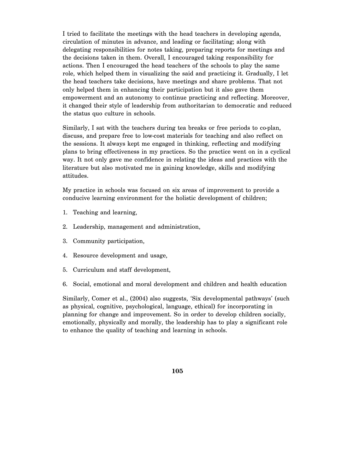I tried to facilitate the meetings with the head teachers in developing agenda, circulation of minutes in advance, and leading or facilitating; along with delegating responsibilities for notes taking, preparing reports for meetings and the decisions taken in them. Overall, I encouraged taking responsibility for actions. Then I encouraged the head teachers of the schools to play the same role, which helped them in visualizing the said and practicing it. Gradually, I let the head teachers take decisions, have meetings and share problems. That not only helped them in enhancing their participation but it also gave them empowerment and an autonomy to continue practicing and reflecting. Moreover, it changed their style of leadership from authoritarian to democratic and reduced the status quo culture in schools.

Similarly, I sat with the teachers during tea breaks or free periods to co-plan, discuss, and prepare free to low-cost materials for teaching and also reflect on the sessions. It always kept me engaged in thinking, reflecting and modifying plans to bring effectiveness in my practices. So the practice went on in a cyclical way. It not only gave me confidence in relating the ideas and practices with the literature but also motivated me in gaining knowledge, skills and modifying attitudes.

My practice in schools was focused on six areas of improvement to provide a conducive learning environment for the holistic development of children;

- 1. Teaching and learning,
- 2. Leadership, management and administration,
- 3. Community participation,
- 4. Resource development and usage,
- 5. Curriculum and staff development,
- 6. Social, emotional and moral development and children and health education

Similarly, Comer et al., (2004) also suggests, 'Six developmental pathways' (such as physical, cognitive, psychological, language, ethical) for incorporating in planning for change and improvement. So in order to develop children socially, emotionally, physically and morally, the leadership has to play a significant role to enhance the quality of teaching and learning in schools.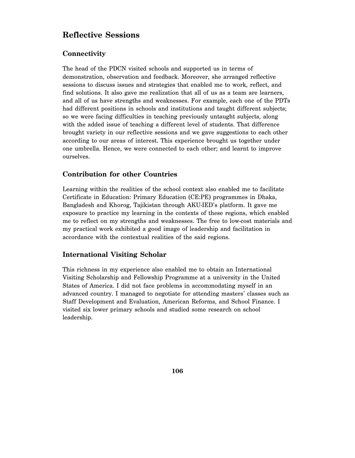# **Reflective Sessions**

# **Connectivity**

The head of the PDCN visited schools and supported us in terms of demonstration, observation and feedback. Moreover, she arranged reflective sessions to discuss issues and strategies that enabled me to work, reflect, and find solutions. It also gave me realization that all of us as a team are learners, and all of us have strengths and weaknesses. For example, each one of the PDTs had different positions in schools and institutions and taught different subjects; so we were facing difficulties in teaching previously untaught subjects, along with the added issue of teaching a different level of students. That difference brought variety in our reflective sessions and we gave suggestions to each other according to our areas of interest. This experience brought us together under one umbrella. Hence, we were connected to each other; and learnt to improve ourselves.

### **Contribution for other Countries**

Learning within the realities of the school context also enabled me to facilitate Certificate in Education: Primary Education (CE:PE) programmes in Dhaka, Bangladesh and Khorog, Tajikistan through AKU-IED's platform. It gave me exposure to practice my learning in the contexts of these regions, which enabled me to reflect on my strengths and weaknesses. The free to low-cost materials and my practical work exhibited a good image of leadership and facilitation in accordance with the contextual realities of the said regions.

# **International Visiting Scholar**

This richness in my experience also enabled me to obtain an International Visiting Scholarship and Fellowship Programme at a university in the United States of America. I did not face problems in accommodating myself in an advanced country. I managed to negotiate for attending masters' classes such as Staff Development and Evaluation, American Reforms, and School Finance. I visited six lower primary schools and studied some research on school leadership.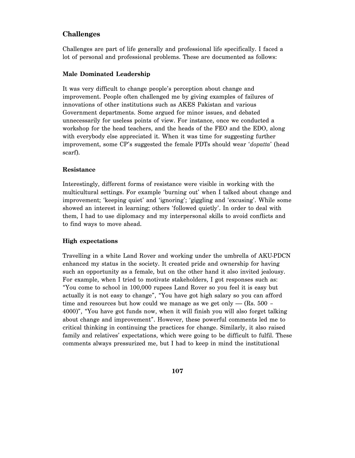### **Challenges**

Challenges are part of life generally and professional life specifically. I faced a lot of personal and professional problems. These are documented as follows:

#### **Male Dominated Leadership**

It was very difficult to change people's perception about change and improvement. People often challenged me by giving examples of failures of innovations of other institutions such as AKES Pakistan and various Government departments. Some argued for minor issues, and debated unnecessarily for useless points of view. For instance, once we conducted a workshop for the head teachers, and the heads of the FEO and the EDO, along with everybody else appreciated it. When it was time for suggesting further improvement, some CP's suggested the female PDTs should wear '*dopatta*' (head scarf).

#### **Resistance**

Interestingly, different forms of resistance were visible in working with the multicultural settings. For example 'burning out' when I talked about change and improvement; 'keeping quiet' and 'ignoring'; 'giggling and 'excusing'. While some showed an interest in learning; others 'followed quietly'. In order to deal with them, I had to use diplomacy and my interpersonal skills to avoid conflicts and to find ways to move ahead.

#### **High expectations**

Travelling in a white Land Rover and working under the umbrella of AKU-PDCN enhanced my status in the society. It created pride and ownership for having such an opportunity as a female, but on the other hand it also invited jealousy. For example, when I tried to motivate stakeholders, I got responses such as: "You come to school in 100,000 rupees Land Rover so you feel it is easy but actually it is not easy to change", "You have got high salary so you can afford time and resources but how could we manage as we get only  $-$  (Rs. 500 – 4000)", "You have got funds now, when it will finish you will also forget talking about change and improvement". However, these powerful comments led me to critical thinking in continuing the practices for change. Similarly, it also raised family and relatives' expectations, which were going to be difficult to fulfil. These comments always pressurized me, but I had to keep in mind the institutional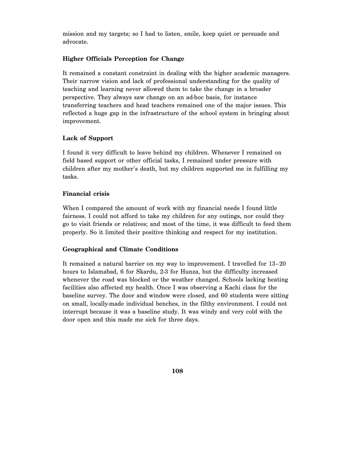mission and my targets; so I had to listen, smile, keep quiet or persuade and advocate.

#### **Higher Officials Perception for Change**

It remained a constant constraint in dealing with the higher academic managers. Their narrow vision and lack of professional understanding for the quality of teaching and learning never allowed them to take the change in a broader perspective. They always saw change on an ad-hoc basis, for instance transferring teachers and head teachers remained one of the major issues. This reflected a huge gap in the infrastructure of the school system in bringing about improvement.

#### **Lack of Support**

I found it very difficult to leave behind my children. Whenever I remained on field based support or other official tasks, I remained under pressure with children after my mother's death, but my children supported me in fulfilling my tasks.

#### **Financial crisis**

When I compared the amount of work with my financial needs I found little fairness. I could not afford to take my children for any outings, nor could they go to visit friends or relatives; and most of the time, it was difficult to feed them properly. So it limited their positive thinking and respect for my institution.

#### **Geographical and Climate Conditions**

It remained a natural barrier on my way to improvement. I travelled for 13–20 hours to Islamabad, 6 for Skardu, 2-3 for Hunza, but the difficulty increased whenever the road was blocked or the weather changed. Schools lacking heating facilities also affected my health. Once I was observing a Kachi class for the baseline survey. The door and window were closed, and 60 students were sitting on small, locally-made individual benches, in the filthy environment. I could not interrupt because it was a baseline study. It was windy and very cold with the door open and this made me sick for three days.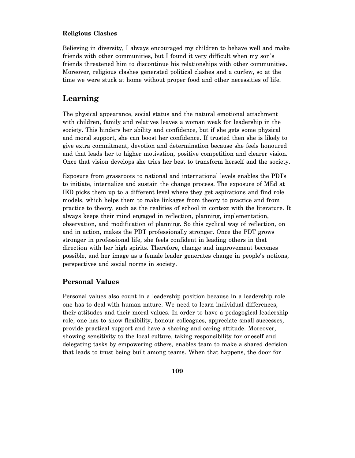#### **Religious Clashes**

Believing in diversity, I always encouraged my children to behave well and make friends with other communities, but I found it very difficult when my son's friends threatened him to discontinue his relationships with other communities. Moreover, religious clashes generated political clashes and a curfew, so at the time we were stuck at home without proper food and other necessities of life.

# **Learning**

The physical appearance, social status and the natural emotional attachment with children, family and relatives leaves a woman weak for leadership in the society. This hinders her ability and confidence, but if she gets some physical and moral support, she can boost her confidence. If trusted then she is likely to give extra commitment, devotion and determination because she feels honoured and that leads her to higher motivation, positive competition and clearer vision. Once that vision develops she tries her best to transform herself and the society.

Exposure from grassroots to national and international levels enables the PDTs to initiate, internalize and sustain the change process. The exposure of MEd at IED picks them up to a different level where they get aspirations and find role models, which helps them to make linkages from theory to practice and from practice to theory, such as the realities of school in context with the literature. It always keeps their mind engaged in reflection, planning, implementation, observation, and modification of planning. So this cyclical way of reflection, on and in action, makes the PDT professionally stronger. Once the PDT grows stronger in professional life, she feels confident in leading others in that direction with her high spirits. Therefore, change and improvement becomes possible, and her image as a female leader generates change in people's notions, perspectives and social norms in society.

# **Personal Values**

Personal values also count in a leadership position because in a leadership role one has to deal with human nature. We need to learn individual differences, their attitudes and their moral values. In order to have a pedagogical leadership role, one has to show flexibility, honour colleagues, appreciate small successes, provide practical support and have a sharing and caring attitude. Moreover, showing sensitivity to the local culture, taking responsibility for oneself and delegating tasks by empowering others, enables team to make a shared decision that leads to trust being built among teams. When that happens, the door for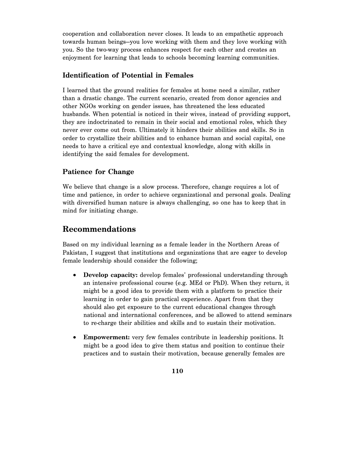cooperation and collaboration never closes. It leads to an empathetic approach towards human beings—you love working with them and they love working with you. So the two-way process enhances respect for each other and creates an enjoyment for learning that leads to schools becoming learning communities.

# **Identification of Potential in Females**

I learned that the ground realities for females at home need a similar, rather than a drastic change. The current scenario, created from donor agencies and other NGOs working on gender issues, has threatened the less educated husbands. When potential is noticed in their wives, instead of providing support, they are indoctrinated to remain in their social and emotional roles, which they never ever come out from. Ultimately it hinders their abilities and skills. So in order to crystallize their abilities and to enhance human and social capital, one needs to have a critical eye and contextual knowledge, along with skills in identifying the said females for development.

# **Patience for Change**

We believe that change is a slow process. Therefore, change requires a lot of time and patience, in order to achieve organizational and personal goals. Dealing with diversified human nature is always challenging, so one has to keep that in mind for initiating change.

# **Recommendations**

Based on my individual learning as a female leader in the Northern Areas of Pakistan, I suggest that institutions and organizations that are eager to develop female leadership should consider the following;

- **Develop capacity:** develop females' professional understanding through an intensive professional course (e.g. MEd or PhD). When they return, it might be a good idea to provide them with a platform to practice their learning in order to gain practical experience. Apart from that they should also get exposure to the current educational changes through national and international conferences, and be allowed to attend seminars to re-charge their abilities and skills and to sustain their motivation.
- **Empowerment:** very few females contribute in leadership positions. It might be a good idea to give them status and position to continue their practices and to sustain their motivation, because generally females are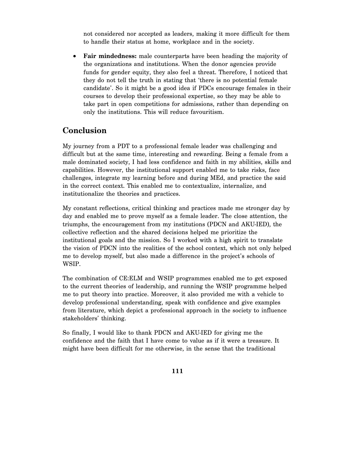not considered nor accepted as leaders, making it more difficult for them to handle their status at home, workplace and in the society.

• **Fair mindedness:** male counterparts have been heading the majority of the organizations and institutions. When the donor agencies provide funds for gender equity, they also feel a threat. Therefore, I noticed that they do not tell the truth in stating that 'there is no potential female candidate'. So it might be a good idea if PDCs encourage females in their courses to develop their professional expertise, so they may be able to take part in open competitions for admissions, rather than depending on only the institutions. This will reduce favouritism.

# **Conclusion**

My journey from a PDT to a professional female leader was challenging and difficult but at the same time, interesting and rewarding. Being a female from a male dominated society, I had less confidence and faith in my abilities, skills and capabilities. However, the institutional support enabled me to take risks, face challenges, integrate my learning before and during MEd, and practice the said in the correct context. This enabled me to contextualize, internalize, and institutionalize the theories and practices.

My constant reflections, critical thinking and practices made me stronger day by day and enabled me to prove myself as a female leader. The close attention, the triumphs, the encouragement from my institutions (PDCN and AKU-IED), the collective reflection and the shared decisions helped me prioritize the institutional goals and the mission. So I worked with a high spirit to translate the vision of PDCN into the realities of the school context, which not only helped me to develop myself, but also made a difference in the project's schools of WSIP.

The combination of CE:ELM and WSIP programmes enabled me to get exposed to the current theories of leadership, and running the WSIP programme helped me to put theory into practice. Moreover, it also provided me with a vehicle to develop professional understanding, speak with confidence and give examples from literature, which depict a professional approach in the society to influence stakeholders' thinking.

So finally, I would like to thank PDCN and AKU-IED for giving me the confidence and the faith that I have come to value as if it were a treasure. It might have been difficult for me otherwise, in the sense that the traditional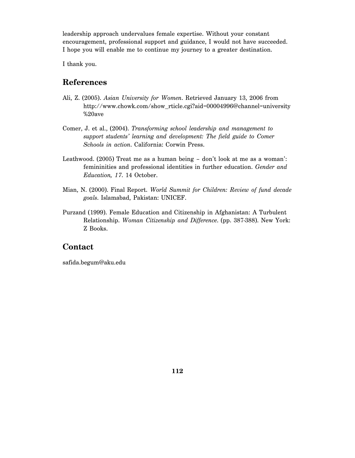leadership approach undervalues female expertise. Without your constant encouragement, professional support and guidance, I would not have succeeded. I hope you will enable me to continue my journey to a greater destination.

I thank you.

# **References**

- Ali, Z. (2005). *Asian University for Women*. Retrieved January 13, 2006 from http://www.chowk.com/show\_rticle.cgi?aid=00004996@channel=university %20ave
- Comer, J. et al., (2004). *Transforming school leadership and management to support students' learning and development: The field guide to Comer Schools in action*. California: Corwin Press.
- Leathwood. (2005) Treat me as a human being don't look at me as a woman': femininities and professional identities in further education. *Gender and Education, 17*. 14 October.
- Mian, N. (2000). Final Report. *World Summit for Children: Review of fund decade goals*. Islamabad, Pakistan: UNICEF.
- Purzand (1999). Female Education and Citizenship in Afghanistan: A Turbulent Relationship. *Woman Citizenship and Difference*. (pp. 387-388). New York: Z Books.

# **Contact**

safida.begum@aku.edu